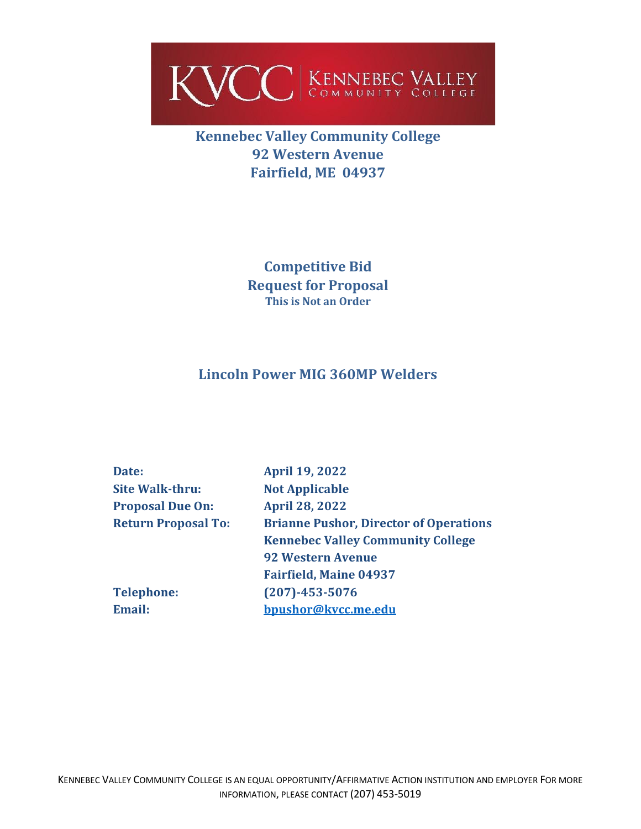

**Kennebec Valley Community College 92 Western Avenue Fairfield, ME 04937**

> **Competitive Bid Request for Proposal This is Not an Order**

# **Lincoln Power MIG 360MP Welders**

| Date:                      | <b>April 19, 2022</b>                         |
|----------------------------|-----------------------------------------------|
| <b>Site Walk-thru:</b>     | <b>Not Applicable</b>                         |
| <b>Proposal Due On:</b>    | <b>April 28, 2022</b>                         |
| <b>Return Proposal To:</b> | <b>Brianne Pushor, Director of Operations</b> |
|                            | <b>Kennebec Valley Community College</b>      |
|                            | <b>92 Western Avenue</b>                      |
|                            | <b>Fairfield, Maine 04937</b>                 |
| <b>Telephone:</b>          | $(207) - 453 - 5076$                          |
| Email:                     | bpushor@kvcc.me.edu                           |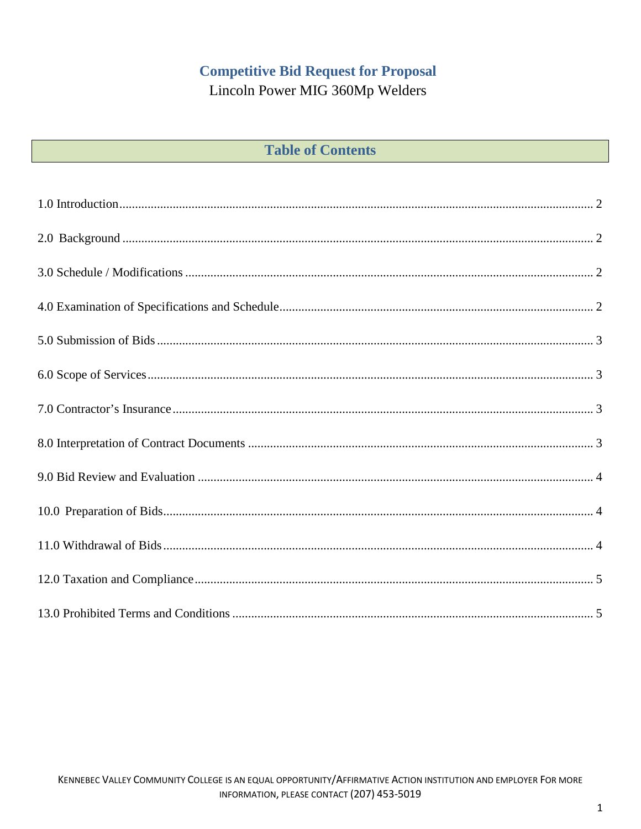# **Competitive Bid Request for Proposal**

Lincoln Power MIG 360Mp Welders

| <b>Table of Contents</b> |  |  |  |
|--------------------------|--|--|--|
|--------------------------|--|--|--|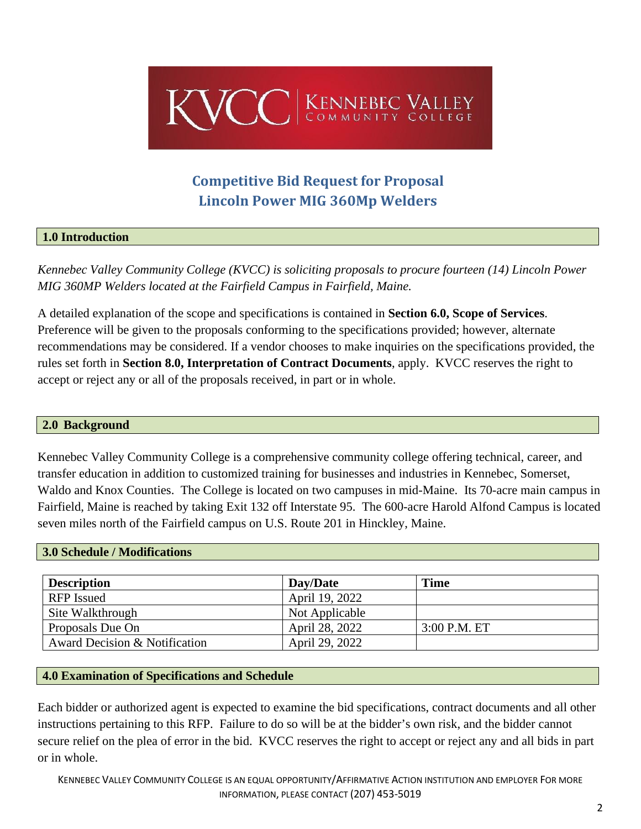

# **Competitive Bid Request for Proposal Lincoln Power MIG 360Mp Welders**

### <span id="page-2-0"></span>**1.0 Introduction**

*Kennebec Valley Community College (KVCC) is soliciting proposals to procure fourteen (14) Lincoln Power MIG 360MP Welders located at the Fairfield Campus in Fairfield, Maine.*

A detailed explanation of the scope and specifications is contained in **Section 6.0, Scope of Services**. Preference will be given to the proposals conforming to the specifications provided; however, alternate recommendations may be considered. If a vendor chooses to make inquiries on the specifications provided, the rules set forth in **Section 8.0, Interpretation of Contract Documents**, apply. KVCC reserves the right to accept or reject any or all of the proposals received, in part or in whole.

#### <span id="page-2-1"></span>**2.0 Background**

Kennebec Valley Community College is a comprehensive community college offering technical, career, and transfer education in addition to customized training for businesses and industries in Kennebec, Somerset, Waldo and Knox Counties. The College is located on two campuses in mid-Maine. Its 70-acre main campus in Fairfield, Maine is reached by taking Exit 132 off Interstate 95. The 600-acre Harold Alfond Campus is located seven miles north of the Fairfield campus on U.S. Route 201 in Hinckley, Maine.

#### <span id="page-2-2"></span>**3.0 Schedule / Modifications**

| <b>Description</b>            | Day/Date       | <b>Time</b>    |
|-------------------------------|----------------|----------------|
| <b>RFP</b> Issued             | April 19, 2022 |                |
| Site Walkthrough              | Not Applicable |                |
| Proposals Due On              | April 28, 2022 | $3:00$ P.M. ET |
| Award Decision & Notification | April 29, 2022 |                |

#### <span id="page-2-3"></span>**4.0 Examination of Specifications and Schedule**

Each bidder or authorized agent is expected to examine the bid specifications, contract documents and all other instructions pertaining to this RFP. Failure to do so will be at the bidder's own risk, and the bidder cannot secure relief on the plea of error in the bid. KVCC reserves the right to accept or reject any and all bids in part or in whole.

KENNEBEC VALLEY COMMUNITY COLLEGE IS AN EQUAL OPPORTUNITY/AFFIRMATIVE ACTION INSTITUTION AND EMPLOYER FOR MORE INFORMATION, PLEASE CONTACT (207) 453-5019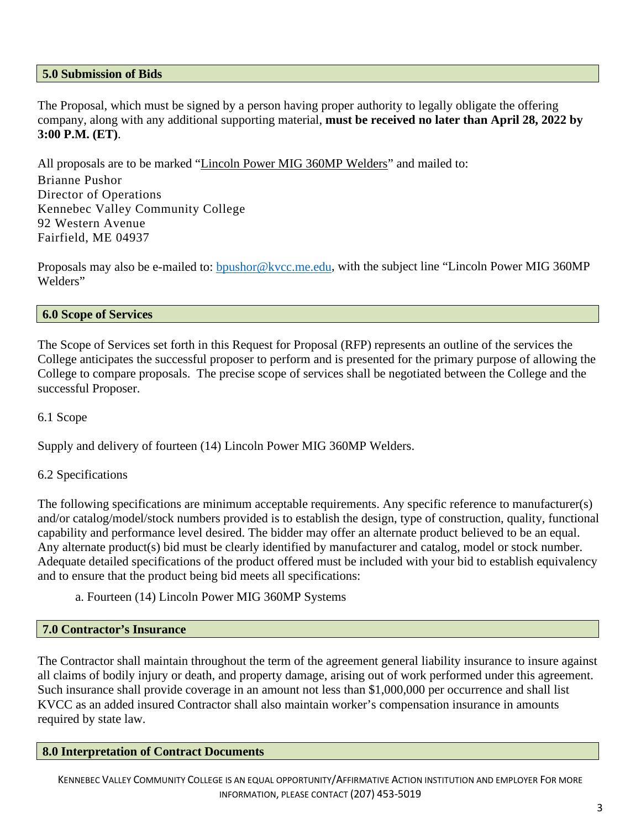#### <span id="page-3-0"></span>**5.0 Submission of Bids**

The Proposal, which must be signed by a person having proper authority to legally obligate the offering company, along with any additional supporting material, **must be received no later than April 28, 2022 by 3:00 P.M. (ET)**.

All proposals are to be marked "Lincoln Power MIG 360MP Welders" and mailed to:

Brianne Pushor Director of Operations Kennebec Valley Community College 92 Western Avenue Fairfield, ME 04937

Proposals may also be e-mailed to: **bpushor@kvcc.me.edu**, with the subject line "Lincoln Power MIG 360MP Welders"

### <span id="page-3-1"></span>**6.0 Scope of Services**

The Scope of Services set forth in this Request for Proposal (RFP) represents an outline of the services the College anticipates the successful proposer to perform and is presented for the primary purpose of allowing the College to compare proposals. The precise scope of services shall be negotiated between the College and the successful Proposer.

6.1 Scope

Supply and delivery of fourteen (14) Lincoln Power MIG 360MP Welders.

# 6.2 Specifications

The following specifications are minimum acceptable requirements. Any specific reference to manufacturer(s) and/or catalog/model/stock numbers provided is to establish the design, type of construction, quality, functional capability and performance level desired. The bidder may offer an alternate product believed to be an equal. Any alternate product(s) bid must be clearly identified by manufacturer and catalog, model or stock number. Adequate detailed specifications of the product offered must be included with your bid to establish equivalency and to ensure that the product being bid meets all specifications:

a. Fourteen (14) Lincoln Power MIG 360MP Systems

#### <span id="page-3-2"></span>**7.0 Contractor's Insurance**

<span id="page-3-3"></span>The Contractor shall maintain throughout the term of the agreement general liability insurance to insure against all claims of bodily injury or death, and property damage, arising out of work performed under this agreement. Such insurance shall provide coverage in an amount not less than \$1,000,000 per occurrence and shall list KVCC as an added insured Contractor shall also maintain worker's compensation insurance in amounts required by state law.

#### **8.0 Interpretation of Contract Documents**

KENNEBEC VALLEY COMMUNITY COLLEGE IS AN EQUAL OPPORTUNITY/AFFIRMATIVE ACTION INSTITUTION AND EMPLOYER FOR MORE INFORMATION, PLEASE CONTACT (207) 453-5019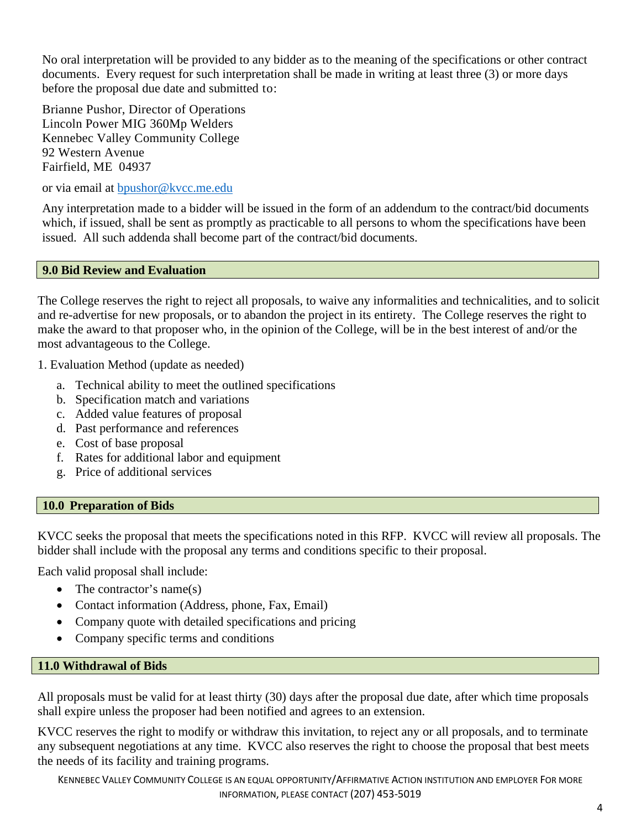No oral interpretation will be provided to any bidder as to the meaning of the specifications or other contract documents. Every request for such interpretation shall be made in writing at least three (3) or more days before the proposal due date and submitted to:

Brianne Pushor, Director of Operations Lincoln Power MIG 360Mp Welders Kennebec Valley Community College 92 Western Avenue Fairfield, ME 04937

or via email at [bpushor@kvcc.me.edu](mailto:bpushor@kvcc.me.edu)

Any interpretation made to a bidder will be issued in the form of an addendum to the contract/bid documents which, if issued, shall be sent as promptly as practicable to all persons to whom the specifications have been issued. All such addenda shall become part of the contract/bid documents.

# <span id="page-4-0"></span>**9.0 Bid Review and Evaluation**

The College reserves the right to reject all proposals, to waive any informalities and technicalities, and to solicit and re-advertise for new proposals, or to abandon the project in its entirety. The College reserves the right to make the award to that proposer who, in the opinion of the College, will be in the best interest of and/or the most advantageous to the College.

1. Evaluation Method (update as needed)

- a. Technical ability to meet the outlined specifications
- b. Specification match and variations
- c. Added value features of proposal
- d. Past performance and references
- e. Cost of base proposal
- f. Rates for additional labor and equipment
- g. Price of additional services

# <span id="page-4-1"></span>**10.0 Preparation of Bids**

KVCC seeks the proposal that meets the specifications noted in this RFP. KVCC will review all proposals. The bidder shall include with the proposal any terms and conditions specific to their proposal.

Each valid proposal shall include:

- The contractor's name(s)
- Contact information (Address, phone, Fax, Email)
- Company quote with detailed specifications and pricing
- Company specific terms and conditions

# <span id="page-4-2"></span>**11.0 Withdrawal of Bids**

All proposals must be valid for at least thirty (30) days after the proposal due date, after which time proposals shall expire unless the proposer had been notified and agrees to an extension.

KVCC reserves the right to modify or withdraw this invitation, to reject any or all proposals, and to terminate any subsequent negotiations at any time. KVCC also reserves the right to choose the proposal that best meets the needs of its facility and training programs.

KENNEBEC VALLEY COMMUNITY COLLEGE IS AN EQUAL OPPORTUNITY/AFFIRMATIVE ACTION INSTITUTION AND EMPLOYER FOR MORE INFORMATION, PLEASE CONTACT (207) 453-5019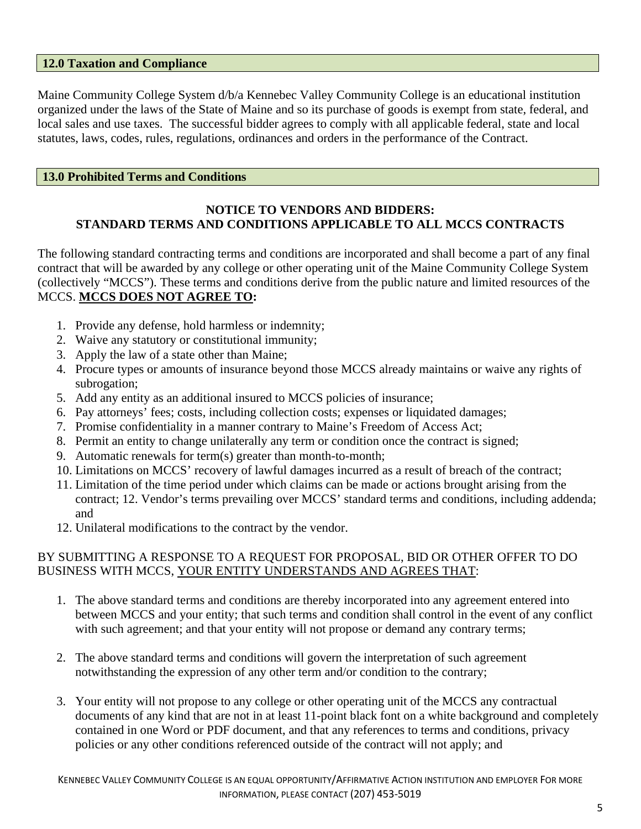#### <span id="page-5-0"></span>**12.0 Taxation and Compliance**

Maine Community College System d/b/a Kennebec Valley Community College is an educational institution organized under the laws of the State of Maine and so its purchase of goods is exempt from state, federal, and local sales and use taxes. The successful bidder agrees to comply with all applicable federal, state and local statutes, laws, codes, rules, regulations, ordinances and orders in the performance of the Contract.

#### <span id="page-5-1"></span>**13.0 Prohibited Terms and Conditions**

### **NOTICE TO VENDORS AND BIDDERS: STANDARD TERMS AND CONDITIONS APPLICABLE TO ALL MCCS CONTRACTS**

The following standard contracting terms and conditions are incorporated and shall become a part of any final contract that will be awarded by any college or other operating unit of the Maine Community College System (collectively "MCCS"). These terms and conditions derive from the public nature and limited resources of the MCCS. **MCCS DOES NOT AGREE TO:**

- 1. Provide any defense, hold harmless or indemnity;
- 2. Waive any statutory or constitutional immunity;
- 3. Apply the law of a state other than Maine;
- 4. Procure types or amounts of insurance beyond those MCCS already maintains or waive any rights of subrogation;
- 5. Add any entity as an additional insured to MCCS policies of insurance;
- 6. Pay attorneys' fees; costs, including collection costs; expenses or liquidated damages;
- 7. Promise confidentiality in a manner contrary to Maine's Freedom of Access Act;
- 8. Permit an entity to change unilaterally any term or condition once the contract is signed;
- 9. Automatic renewals for term(s) greater than month-to-month;
- 10. Limitations on MCCS' recovery of lawful damages incurred as a result of breach of the contract;
- 11. Limitation of the time period under which claims can be made or actions brought arising from the contract; 12. Vendor's terms prevailing over MCCS' standard terms and conditions, including addenda; and
- 12. Unilateral modifications to the contract by the vendor.

# BY SUBMITTING A RESPONSE TO A REQUEST FOR PROPOSAL, BID OR OTHER OFFER TO DO BUSINESS WITH MCCS, YOUR ENTITY UNDERSTANDS AND AGREES THAT:

- 1. The above standard terms and conditions are thereby incorporated into any agreement entered into between MCCS and your entity; that such terms and condition shall control in the event of any conflict with such agreement; and that your entity will not propose or demand any contrary terms;
- 2. The above standard terms and conditions will govern the interpretation of such agreement notwithstanding the expression of any other term and/or condition to the contrary;
- 3. Your entity will not propose to any college or other operating unit of the MCCS any contractual documents of any kind that are not in at least 11-point black font on a white background and completely contained in one Word or PDF document, and that any references to terms and conditions, privacy policies or any other conditions referenced outside of the contract will not apply; and